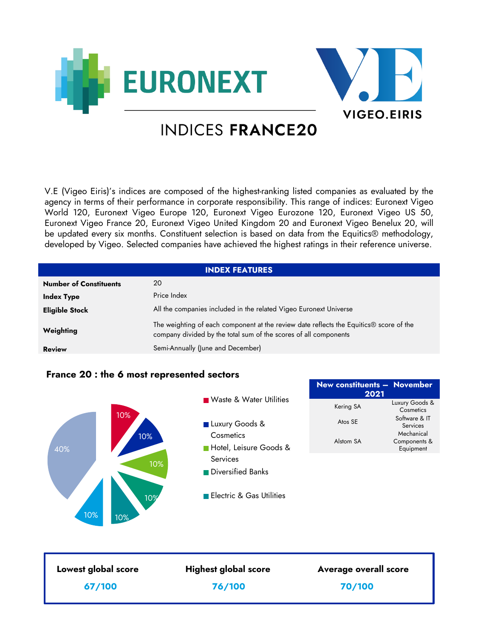



# **INDICES FRANCE20**

V.E (Vigeo Eiris)'s indices are composed of the highest-ranking listed companies as evaluated by the agency in terms of their performance in corporate responsibility. This range of indices: Euronext Vigeo World 120, Euronext Vigeo Europe 120, Euronext Vigeo Eurozone 120, Euronext Vigeo US 50, Euronext Vigeo France 20, Euronext Vigeo United Kingdom 20 and Euronext Vigeo Benelux 20, will be updated every six months. Constituent selection is based on data from the Equitics® methodology, developed by Vigeo. Selected companies have achieved the highest ratings in their reference universe.

| <b>INDEX FEATURES</b>         |                                                                                                                                                                        |  |
|-------------------------------|------------------------------------------------------------------------------------------------------------------------------------------------------------------------|--|
| <b>Number of Constituents</b> | 20                                                                                                                                                                     |  |
| <b>Index Type</b>             | Price Index                                                                                                                                                            |  |
| <b>Eligible Stock</b>         | All the companies included in the related Vigeo Euronext Universe                                                                                                      |  |
| Weighting                     | The weighting of each component at the review date reflects the Equitics <sup>®</sup> score of the<br>company divided by the total sum of the scores of all components |  |
| <b>Review</b>                 | Semi-Annually (June and December)                                                                                                                                      |  |

# **France 20 : the 6 most represented sectors**